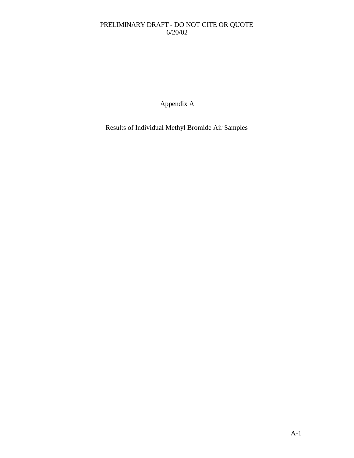Appendix A

Results of Individual Methyl Bromide Air Samples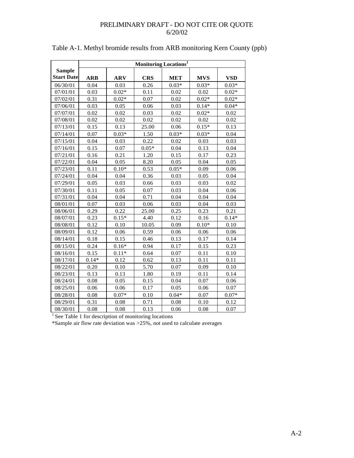|                   | Monitoring Locations <sup>1</sup> |            |            |            |            |            |
|-------------------|-----------------------------------|------------|------------|------------|------------|------------|
| <b>Sample</b>     |                                   |            |            |            |            |            |
| <b>Start Date</b> | <b>ARB</b>                        | <b>ARV</b> | <b>CRS</b> | <b>MET</b> | <b>MVS</b> | <b>VSD</b> |
| 06/30/01          | 0.04                              | 0.03       | 0.26       | $0.03*$    | $0.03*$    | $0.03*$    |
| 07/01/01          | 0.03                              | $0.02*$    | 0.11       | 0.02       | 0.02       | $0.02*$    |
| 07/02/01          | 0.31                              | $0.02*$    | 0.07       | 0.02       | $0.02*$    | $0.02*$    |
| 07/06/01          | 0.03                              | 0.05       | 0.06       | 0.03       | $0.14*$    | $0.04*$    |
| 07/07/01          | 0.02                              | 0.02       | 0.03       | 0.02       | $0.02*$    | 0.02       |
| 07/08/01          | 0.02                              | 0.02       | 0.02       | 0.02       | 0.02       | 0.02       |
| 07/13/01          | 0.15                              | 0.13       | 25.00      | 0.06       | $0.15*$    | 0.13       |
| 07/14/01          | 0.07                              | $0.03*$    | 1.50       | $0.03*$    | $0.03*$    | 0.04       |
| 07/15/01          | 0.04                              | 0.03       | 0.22       | 0.02       | 0.03       | 0.03       |
| 07/16/01          | 0.15                              | 0.07       | $0.05*$    | 0.04       | 0.13       | 0.04       |
| 07/21/01          | 0.16                              | 0.21       | 1.20       | 0.15       | 0.17       | 0.23       |
| 07/22/01          | 0.04                              | 0.05       | 8.20       | 0.05       | 0.04       | 0.05       |
| 07/23/01          | 0.11                              | $0.10*$    | 0.53       | $0.05*$    | 0.09       | 0.06       |
| 07/24/01          | 0.04                              | 0.04       | 0.36       | 0.03       | 0.05       | 0.04       |
| 07/29/01          | 0.05                              | 0.03       | 0.66       | 0.03       | 0.03       | 0.02       |
| 07/30/01          | 0.11                              | 0.05       | 0.07       | 0.03       | 0.04       | 0.06       |
| 07/31/01          | 0.04                              | 0.04       | 0.71       | 0.04       | 0.04       | 0.04       |
| 08/01/01          | 0.07                              | 0.03       | 0.06       | 0.03       | 0.04       | 0.03       |
| 08/06/01          | 0.29                              | 0.22       | 25.00      | 0.25       | 0.23       | 0.21       |
| 08/07/01          | 0.23                              | $0.15*$    | 4.40       | 0.12       | 0.16       | $0.14*$    |
| 08/08/01          | 0.12                              | 0.10       | 10.05      | 0.09       | $0.10*$    | 0.10       |
| 08/09/01          | 0.12                              | 0.06       | 0.59       | 0.06       | 0.06       | 0.06       |
| 08/14/01          | 0.18                              | 0.15       | 0.46       | 0.13       | 0.17       | 0.14       |
| 08/15/01          | 0.24                              | $0.16*$    | 0.94       | 0.17       | 0.15       | 0.23       |
| 08/16/01          | 0.15                              | $0.11*$    | 0.64       | 0.07       | 0.11       | 0.10       |
| 08/17/01          | $0.14*$                           | 0.12       | 0.62       | 0.13       | 0.11       | 0.11       |
| 08/22/01          | 0.20                              | 0.10       | 5.70       | 0.07       | 0.09       | 0.10       |
| 08/23/01          | 0.13                              | 0.13       | 1.80       | 0.19       | 0.11       | 0.14       |
| 08/24/01          | 0.08                              | 0.05       | 0.15       | 0.04       | 0.07       | 0.06       |
| 08/25/01          | 0.06                              | 0.06       | 0.17       | 0.05       | 0.06       | 0.07       |
| 08/28/01          | 0.08                              | $0.07*$    | 0.10       | $0.04*$    | 0.07       | $0.07*$    |
| 08/29/01          | 0.31                              | 0.08       | 0.71       | 0.08       | 0.10       | 0.12       |
| 08/30/01          | 0.08                              | 0.08       | 0.13       | 0.06       | 0.08       | 0.07       |

# Table A-1. Methyl bromide results from ARB monitoring Kern County (ppb)

 $1$  See Table 1 for description of monitoring locations

\*Sample air flow rate deviation was >25%, not used to calculate averages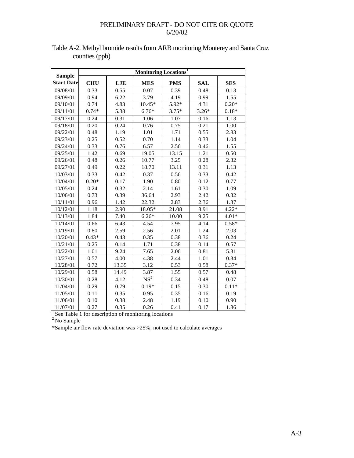| <b>Sample</b>                                       | Monitoring Locations <sup>1</sup> |       |                 |            |            |            |
|-----------------------------------------------------|-----------------------------------|-------|-----------------|------------|------------|------------|
| <b>Start Date</b>                                   | <b>CHU</b>                        | LJE   | <b>MES</b>      | <b>PMS</b> | <b>SAL</b> | <b>SES</b> |
| 09/08/01                                            | 0.33                              | 0.55  | 0.07            | 0.39       | 0.48       | 0.13       |
| 09/09/01                                            | 0.94                              | 6.22  | 3.79            | 4.19       | 0.99       | 1.55       |
| 09/10/01                                            | 0.74                              | 4.83  | $10.45*$        | 5.92*      | 4.31       | $0.20*$    |
| 09/11/01                                            | $0.74*$                           | 5.38  | $6.76*$         | $3.75*$    | $3.26*$    | $0.18*$    |
| 09/17/01                                            | 0.24                              | 0.31  | 1.06            | 1.07       | 0.16       | 1.13       |
| 09/18/01                                            | 0.20                              | 0.24  | 0.76            | 0.75       | 0.21       | 1.00       |
| 09/22/01                                            | 0.48                              | 1.19  | 1.01            | 1.71       | 0.55       | 2.83       |
| 09/23/01                                            | 0.25                              | 0.52  | 0.70            | 1.14       | 0.33       | 1.04       |
| 09/24/01                                            | 0.33                              | 0.76  | 6.57            | 2.56       | 0.46       | 1.55       |
| 09/25/01                                            | 1.42                              | 0.69  | 19.05           | 13.15      | 1.21       | 0.50       |
| 09/26/01                                            | 0.48                              | 0.26  | 10.77           | 3.25       | 0.28       | 2.32       |
| 09/27/01                                            | 0.49                              | 0.22  | 18.70           | 13.11      | 0.31       | 1.13       |
| 10/03/01                                            | 0.33                              | 0.42  | 0.37            | 0.56       | 0.33       | 0.42       |
| 10/04/01                                            | $0.20*$                           | 0.17  | 1.90            | 0.80       | 0.12       | 0.77       |
| 10/05/01                                            | 0.24                              | 0.32  | 2.14            | 1.61       | 0.30       | 1.09       |
| 10/06/01                                            | 0.73                              | 0.39  | 36.64           | 2.93       | 2.42       | 0.32       |
| 10/11/01                                            | 0.96                              | 1.42  | 22.32           | 2.83       | 2.36       | 1.37       |
| 10/12/01                                            | 1.18                              | 2.90  | 18.05*          | 21.08      | 8.91       | $4.22*$    |
| 10/13/01                                            | 1.84                              | 7.40  | $6.26*$         | 10.00      | 9.25       | $4.01*$    |
| 10/14/01                                            | 0.66                              | 6.43  | 4.54            | 7.95       | 4.14       | $0.58*$    |
| 10/19/01                                            | 0.80                              | 2.59  | 2.56            | 2.01       | 1.24       | 2.03       |
| 10/20/01                                            | $0.43*$                           | 0.43  | 0.35            | 0.38       | 0.36       | 0.24       |
| 10/21/01                                            | 0.25                              | 0.14  | 1.71            | 0.38       | 0.14       | 0.57       |
| 10/22/01                                            | 1.01                              | 9.24  | 7.65            | 2.06       | 0.81       | 5.31       |
| 10/27/01                                            | 0.57                              | 4.00  | 4.38            | 2.44       | 1.01       | 0.34       |
| 10/28/01                                            | 0.72                              | 13.35 | 3.12            | 0.53       | 0.58       | $0.37*$    |
| 10/29/01                                            | 0.58                              | 14.49 | 3.87            | 1.55       | 0.57       | 0.48       |
| 10/30/01                                            | 0.28                              | 4.12  | NS <sup>2</sup> | 0.34       | 0.48       | $0.07\,$   |
| 11/04/01                                            | 0.29                              | 0.79  | $0.19*$         | 0.15       | 0.30       | $0.11*$    |
| 11/05/01                                            | 0.11                              | 0.35  | 0.95            | 0.35       | 0.16       | 0.19       |
| 11/06/01                                            | 0.10                              | 0.38  | 2.48            | 1.19       | 0.10       | 0.90       |
| 11/07/01                                            | 0.27                              | 0.35  | 0.26            | 0.41       | 0.17       | 1.86       |
| See Table 1 for description of monitoring locations |                                   |       |                 |            |            |            |

## Table A-2. Methyl bromide results from ARB monitoring Monterey and Santa Cruz counties (ppb)

<sup>2</sup> No Sample

\*Sample air flow rate deviation was >25%, not used to calculate averages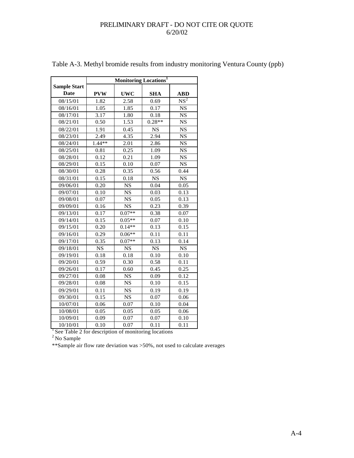|                                                     | <b>Monitoring Locations</b> <sup>1</sup> |            |            |                 |  |  |
|-----------------------------------------------------|------------------------------------------|------------|------------|-----------------|--|--|
| <b>Sample Start</b><br>Date                         | <b>PVW</b>                               | <b>UWC</b> | <b>SHA</b> | <b>ABD</b>      |  |  |
| 08/15/01                                            | 1.82                                     | 2.58       | 0.69       | NS <sup>2</sup> |  |  |
| 08/16/01                                            | 1.05                                     | 1.85       | 0.17       | <b>NS</b>       |  |  |
| 08/17/01                                            | 3.17                                     | 1.80       | 0.18       | <b>NS</b>       |  |  |
| 08/21/01                                            | 0.50                                     | 1.53       | $0.28**$   | <b>NS</b>       |  |  |
| 08/22/01                                            | 1.91                                     | 0.45       | <b>NS</b>  | <b>NS</b>       |  |  |
| 08/23/01                                            | 2.49                                     | 4.35       | 2.94       | <b>NS</b>       |  |  |
| 08/24/01                                            | $1.44**$                                 | 2.01       | 2.86       | <b>NS</b>       |  |  |
| 08/25/01                                            | 0.81                                     | 0.25       | 1.09       | <b>NS</b>       |  |  |
| 08/28/01                                            | 0.12                                     | 0.21       | 1.09       | <b>NS</b>       |  |  |
| 08/29/01                                            | 0.15                                     | 0.10       | 0.07       | <b>NS</b>       |  |  |
| 08/30/01                                            | 0.28                                     | 0.35       | 0.56       | 0.44            |  |  |
| 08/31/01                                            | 0.15                                     | 0.18       | <b>NS</b>  | <b>NS</b>       |  |  |
| 09/06/01                                            | 0.20                                     | <b>NS</b>  | 0.04       | 0.05            |  |  |
| 09/07/01                                            | 0.10                                     | <b>NS</b>  | 0.03       | 0.13            |  |  |
| 09/08/01                                            | 0.07                                     | <b>NS</b>  | 0.05       | 0.13            |  |  |
| 09/09/01                                            | 0.16                                     | <b>NS</b>  | 0.23       | 0.39            |  |  |
| 09/13/01                                            | 0.17                                     | $0.07**$   | 0.38       | 0.07            |  |  |
| 09/14/01                                            | 0.15                                     | $0.05**$   | 0.07       | 0.10            |  |  |
| 09/15/01                                            | 0.20                                     | $0.14**$   | 0.13       | 0.15            |  |  |
| 09/16/01                                            | 0.29                                     | $0.06**$   | 0.11       | 0.11            |  |  |
| 09/17/01                                            | 0.35                                     | $0.07**$   | 0.13       | 0.14            |  |  |
| 09/18/01                                            | <b>NS</b>                                | <b>NS</b>  | <b>NS</b>  | <b>NS</b>       |  |  |
| 09/19/01                                            | 0.18                                     | 0.18       | 0.10       | 0.10            |  |  |
| 09/20/01                                            | 0.59                                     | 0.30       | 0.58       | 0.11            |  |  |
| 09/26/01                                            | 0.17                                     | 0.60       | 0.45       | 0.25            |  |  |
| 09/27/01                                            | 0.08                                     | <b>NS</b>  | 0.09       | 0.12            |  |  |
| 09/28/01                                            | 0.08                                     | <b>NS</b>  | 0.10       | 0.15            |  |  |
| 09/29/01                                            | 0.11                                     | <b>NS</b>  | 0.19       | 0.19            |  |  |
| 09/30/01                                            | 0.15                                     | <b>NS</b>  | 0.07       | 0.06            |  |  |
| 10/07/01                                            | 0.06                                     | 0.07       | 0.10       | 0.04            |  |  |
| 10/08/01                                            | 0.05                                     | 0.05       | 0.05       | 0.06            |  |  |
| 10/09/01                                            | 0.09                                     | 0.07       | 0.07       | 0.10            |  |  |
| 10/10/01                                            | 0.10                                     | 0.07       | 0.11       | 0.11            |  |  |
| See Table 2 for description of monitoring locations |                                          |            |            |                 |  |  |

## Table A-3. Methyl bromide results from industry monitoring Ventura County (ppb)

<sup>2</sup> No Sample

\*\*Sample air flow rate deviation was >50%, not used to calculate averages